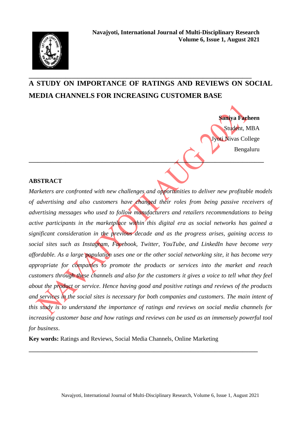

# **\_\_\_\_\_\_\_\_\_\_\_\_\_\_\_\_\_\_\_\_\_\_\_\_\_\_\_\_\_\_\_\_\_\_\_\_\_\_\_\_\_\_\_\_\_\_\_\_\_\_\_\_\_\_\_\_\_\_\_\_\_\_\_\_\_\_\_\_\_\_\_\_\_ A STUDY ON IMPORTANCE OF RATINGS AND REVIEWS ON SOCIAL MEDIA CHANNELS FOR INCREASING CUSTOMER BASE**

**\_\_\_\_\_\_\_\_\_\_\_\_\_\_\_\_\_\_\_\_\_\_\_\_\_\_\_\_\_\_\_\_\_\_\_\_\_\_\_\_\_\_\_\_\_\_\_\_\_\_\_\_\_\_\_\_\_\_\_\_\_\_\_\_\_\_\_\_\_\_\_\_\_\_\_\_\_**

**Saniya Farheen** Student, MBA Jyoti Nivas College Bengaluru

## **ABSTRACT**

*Marketers are confronted with new challenges and opportunities to deliver new profitable models of advertising and also customers have changed their roles from being passive receivers of advertising messages who used to follow manufacturers and retailers recommendations to being active participants in the marketplace within this digital era as social networks has gained a significant consideration in the previous decade and as the progress arises, gaining access to social sites such as Instagram, Facebook, Twitter, YouTube, and LinkedIn have become very affordable. As a large population uses one or the other social networking site, it has become very appropriate for companies to promote the products or services into the market and reach customers through these channels and also for the customers it gives a voice to tell what they feel about the product or service. Hence having good and positive ratings and reviews of the products and services in the social sites is necessary for both companies and customers. The main intent of this study is to understand the importance of ratings and reviews on social media channels for increasing customer base and how ratings and reviews can be used as an immensely powerful tool for business*.

**Key words:** Ratings and Reviews, Social Media Channels, Online Marketing

**\_\_\_\_\_\_\_\_\_\_\_\_\_\_\_\_\_\_\_\_\_\_\_\_\_\_\_\_\_\_\_\_\_\_\_\_\_\_\_\_\_\_\_\_\_\_\_\_\_\_\_\_\_\_\_\_\_\_\_\_\_\_\_\_\_\_\_\_\_\_\_\_\_\_\_**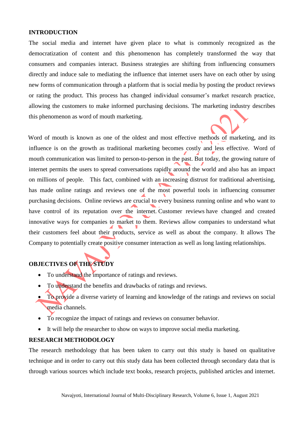#### **INTRODUCTION**

The social media and internet have given place to what is commonly recognized as the democratization of content and this phenomenon has completely transformed the way that consumers and companies interact. Business strategies are shifting from influencing consumers directly and induce sale to mediating the influence that internet users have on each other by using new forms of communication through a platform that is social media by posting the product reviews or rating the product. This process has changed individual consumer's market research practice, allowing the customers to make informed purchasing decisions. The marketing industry describes this phenomenon as word of mouth marketing.

 Word of mouth is known as one of the oldest and most effective methods of marketing, and its influence is on the growth as traditional marketing becomes costly and less effective. Word of mouth communication was limited to person-to-person in the past. But today, the growing nature of internet permits the users to spread conversations rapidly around the world and also has an impact on millions of people. This fact, combined with an increasing distrust for traditional advertising, has made online ratings and reviews one of the most powerful tools in influencing consumer purchasing decisions. Online reviews are crucial to every business running online and who want to have control of its reputation over the internet. [Customer](https://www.annexcloud.com/blog/5-ways-to-showcase-customer-reviews-in-your-marketing/) reviews have changed and created innovative ways for companies to market to them. Reviews allow companies to understand what their customers feel about their products, service as well as about the company. It allows The Company to potentially create positive consumer interaction as well as long lasting relationships.

## **OBJECTIVES OF THE STUDY**

- To understand the importance of ratings and reviews.
- To understand the benefits and drawbacks of ratings and reviews.
- To provide a diverse variety of learning and knowledge of the ratings and reviews on social media channels.
- To recognize the impact of ratings and reviews on consumer behavior.
- It will help the researcher to show on ways to improve social media marketing.

## **RESEARCH METHODOLOGY**

The research methodology that has been taken to carry out this study is based on qualitative technique and in order to carry out this study data has been collected through secondary data that is through various sources which include text books, research projects, published articles and internet.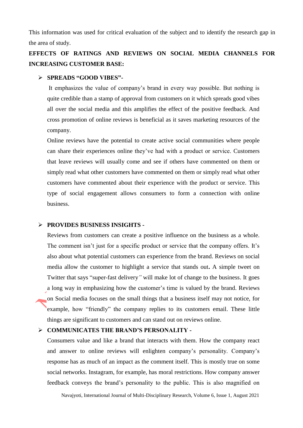This information was used for critical evaluation of the subject and to identify the research gap in the area of study.

# **EFFECTS OF RATINGS AND REVIEWS ON SOCIAL MEDIA CHANNELS FOR INCREASING CUSTOMER BASE:**

#### **SPREADS "GOOD VIBES"-**

It emphasizes the value of company's brand in every way possible. But nothing is quite credible than a stamp of approval from customers on it which spreads good vibes all over the social media and this amplifies the effect of the positive feedback. And cross promotion of online reviews is beneficial as it saves marketing resources of the company.

Online reviews have the potential to create active social communities where people can share their experiences online they've had with a product or service. Customers that leave reviews will usually come and see if others have commented on them or simply read what other customers have commented on them or simply read what other customers have commented about their experience with the product or service. This type of social engagement allows consumers to form a connection with online business.

#### **PROVIDES BUSINESS INSIGHTS -**

Reviews from customers can create a positive influence on the business as a whole. The comment isn't just for a specific product or service that the company offers. It's also about what potential customers can experience from the brand. Reviews on social media allow the customer to highlight a service that stands out**.** A simple tweet on Twitter that says "super-fast delivery*"* will make lot of change to the business. It goes a long way in emphasizing how the customer's time is valued by the brand. Reviews on Social media focuses on the small things that a business itself may not notice, for example, how "friendly" the company replies to its customers email. These little things are significant to customers and can stand out on reviews online.

#### **COMMUNICATES THE BRAND'S PERSONALITY -**

Consumers value and like a brand that interacts with them. How the company react and answer to online reviews will enlighten company's personality. Company's response has as much of an impact as the comment itself. This is mostly true on some social networks. Instagram, for example, has moral restrictions. How company answer feedback conveys the brand's personality to the public. This is also magnified on

Navajyoti, International Journal of Multi-Disciplinary Research, Volume 6, Issue 1, August 2021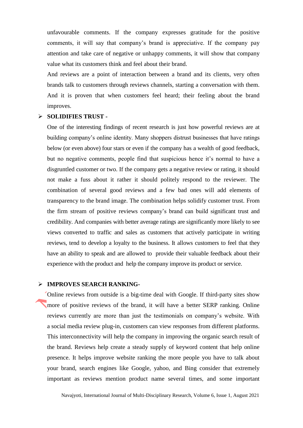unfavourable comments. If the company expresses gratitude for the positive comments, it will say that company's brand is appreciative. If the company pay attention and take care of negative or unhappy comments, it will show that company value what its customers think and feel about their brand.

And reviews are a point of interaction between a brand and its clients, very often brands talk to customers through reviews channels, starting a conversation with them. And it is proven that when customers feel heard; their feeling about the brand improves.

#### **SOLIDIFIES TRUST -**

One of the interesting findings of recent research is just how powerful reviews are at building company's online identity. Many shoppers distrust businesses that have ratings below (or even above) four stars or even if the company has a wealth of good feedback, but no negative comments, people find that suspicious hence it's normal to have a disgruntled customer or two. If the company gets a negative review or rating, it should not make a fuss about it rather it should politely respond to the reviewer. The combination of several good reviews and a few bad ones will add elements of transparency to the brand image. The combination helps solidify customer trust. From the firm stream of positive reviews company's brand can build significant trust and credibility. And companies with better average ratings are [significantly](https://www.brightlocal.com/learn/local-consumer-review-survey/) more likely to see views converted to traffic and sales as customers that actively participate in writing reviews, tend to develop a loyalty to the business. It allows customers to feel that they have an ability to speak and are allowed to provide their valuable feedback about their experience with the product and help the company improve its product or service.

#### **IMPROVES SEARCH RANKING-**

Online reviews from outside is a big-time deal with Google. If third-party sites show more of positive reviews of the brand, it will have a better SERP ranking. Online reviews currently are more than just the testimonials on company's website. With a social media review plug-in, customers can view responses from different platforms. This interconnectivity will help the company in improving the organic search result of the brand. Reviews help create a steady supply of keyword content that help online presence. It helps improve website ranking the more people you have to talk about your brand, search engines like Google, yahoo, and Bing consider that extremely important as reviews mention product name several times, and some important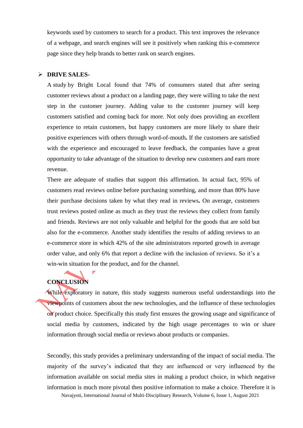keywords used by customers to search for a product. This text improves the relevance of a webpage, and search engines will see it positively when ranking this e-commerce page since they help brands to better rank on search engines.

#### **DRIVE SALES-**

A [study](https://www.brightlocal.com/learn/review-search-click-through-study/) by Bright Local found that 74% of consumers stated that after seeing customer reviews about a product on a landing page, they were willing to take the next step in the customer journey. Adding value to the customer journey will keep customers satisfied and coming back for more. Not only does providing an excellent experience to retain customers, but happy customers are more likely to share their positive experiences with others through word-of-mouth**.** If the customers are satisfied with the experience and encouraged to leave feedback, the companies have a great opportunity to take advantage of the situation to develop new customers and earn more revenue.

There are adequate of studies that support this affirmation. In actual fact, 95% of customers read reviews online before purchasing something, and more than 80% have their purchase decisions taken by what they read in reviews**.** On average, customers trust reviews posted online as much as they trust the reviews they collect from family and friends. Reviews are not only valuable and helpful for the goods that are sold but also for the e-commerce. Another study identifies the results of adding reviews to an e-commerce store in which 42% of the site administrators reported growth in average order value, and only 6% that report a decline with the inclusion of reviews. So it's a win-win situation for the product, and for the channel.

# **CONCLUSION**

While exploratory in nature, this study suggests numerous useful understandings into the viewpoints of customers about the new technologies, and the influence of these technologies on product choice. Specifically this study first ensures the growing usage and significance of social media by customers, indicated by the high usage percentages to win or share information through social media or reviews about products or companies.

 Navajyoti, International Journal of Multi-Disciplinary Research, Volume 6, Issue 1, August 2021 Secondly, this study provides a preliminary understanding of the impact of social media. The majority of the survey's indicated that they are influenced or very influenced by the information available on social media sites in making a product choice, in which negative information is much more pivotal then positive information to make a choice. Therefore it is